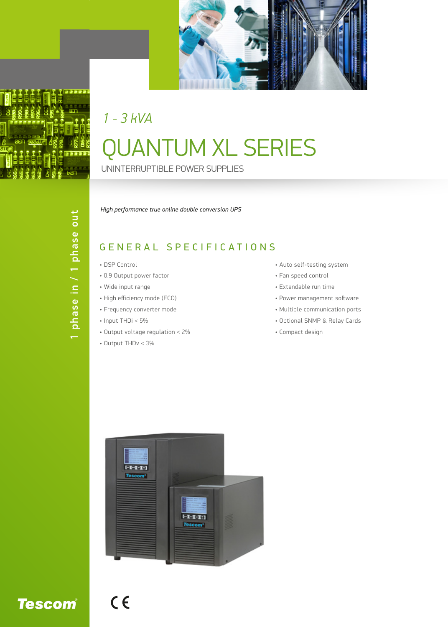

## QUANTUM XL SERIES UNINTERRUPTIBLE POWER SUPPLIES *1 - 3 kVA*

## *High performance true online double conversion UPS*

## GENERAL SPECIFICATIONS

- DSP Control
- 0.9 Output power factor
- Wide input range
- High efficiency mode (ECO)
- Frequency converter mode
- Input THDi < 5%
- Output voltage regulation < 2%
- Output THDv < 3%

 $C<sub>6</sub>$ 

- Auto self-testing system
- Fan speed control
- Extendable run time
- Power management software
- Multiple communication ports
- Optional SNMP & Relay Cards
- Compact design



**Tescom®**